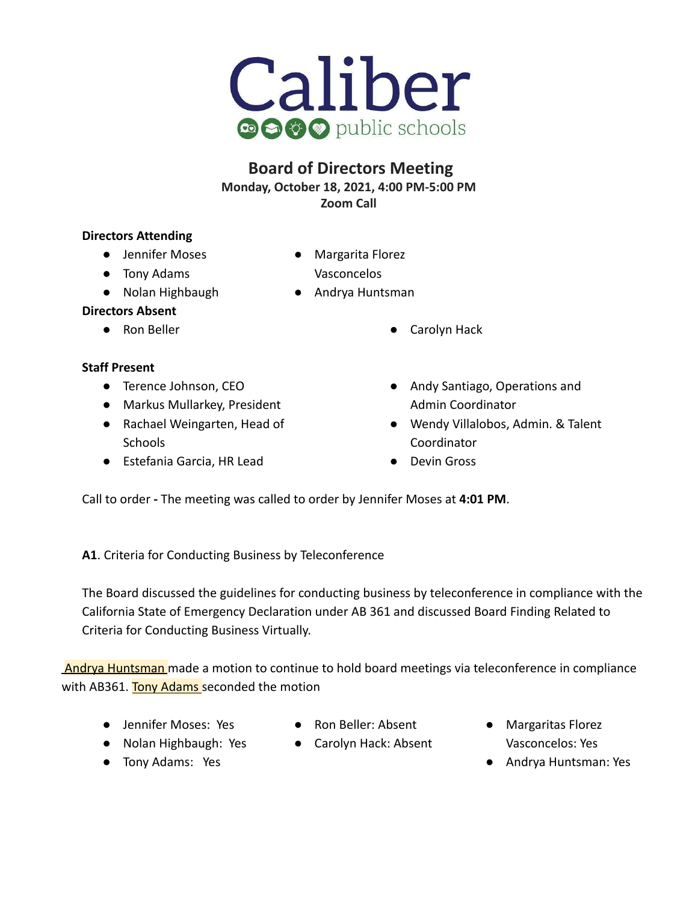

# **Board of Directors Meeting**

**Monday, October 18, 2021, 4:00 PM-5:00 PM**

**Zoom Call**

## **Directors Attending**

- **●** Jennifer Moses
- Tony Adams
- Nolan Highbaugh
- Margarita Florez Vasconcelos
- Andrya Huntsman

# **Directors Absent**

# **Staff Present**

- Terence Johnson, CEO
- Markus Mullarkey, President
- Rachael Weingarten, Head of **Schools**
- Estefania Garcia, HR Lead
- Ron Beller Carolyn Hack
	- Andy Santiago, Operations and Admin Coordinator
	- Wendy Villalobos, Admin. & Talent Coordinator
	- Devin Gross

Call to order **-** The meeting was called to order by Jennifer Moses at **4:01 PM**.

**A1**. Criteria for Conducting Business by Teleconference

The Board discussed the guidelines for conducting business by teleconference in compliance with the California State of Emergency Declaration under AB 361 and discussed Board Finding Related to Criteria for Conducting Business Virtually.

Andrya Huntsman made a motion to continue to hold board meetings via teleconference in compliance with AB361. Tony Adams seconded the motion

- Jennifer Moses: Yes
- Ron Beller: Absent
- Carolyn Hack: Absent
- Margaritas Florez Vasconcelos: Yes
- Andrya Huntsman: Yes

● Nolan Highbaugh: Yes ● Tony Adams: Yes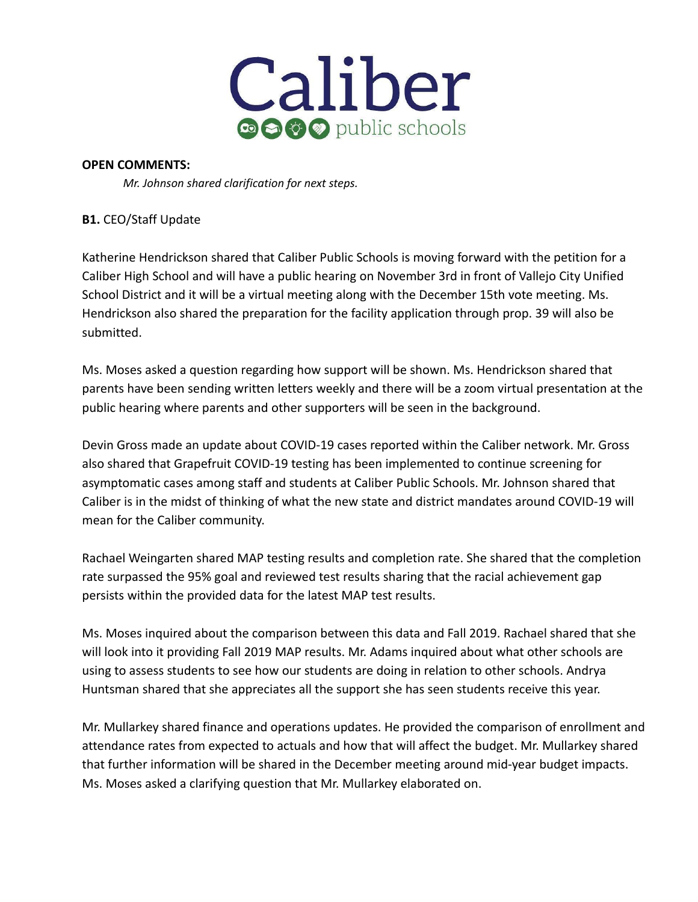

### **OPEN COMMENTS:**

*Mr. Johnson shared clarification for next steps.*

## **B1.** CEO/Staff Update

Katherine Hendrickson shared that Caliber Public Schools is moving forward with the petition for a Caliber High School and will have a public hearing on November 3rd in front of Vallejo City Unified School District and it will be a virtual meeting along with the December 15th vote meeting. Ms. Hendrickson also shared the preparation for the facility application through prop. 39 will also be submitted.

Ms. Moses asked a question regarding how support will be shown. Ms. Hendrickson shared that parents have been sending written letters weekly and there will be a zoom virtual presentation at the public hearing where parents and other supporters will be seen in the background.

Devin Gross made an update about COVID-19 cases reported within the Caliber network. Mr. Gross also shared that Grapefruit COVID-19 testing has been implemented to continue screening for asymptomatic cases among staff and students at Caliber Public Schools. Mr. Johnson shared that Caliber is in the midst of thinking of what the new state and district mandates around COVID-19 will mean for the Caliber community.

Rachael Weingarten shared MAP testing results and completion rate. She shared that the completion rate surpassed the 95% goal and reviewed test results sharing that the racial achievement gap persists within the provided data for the latest MAP test results.

Ms. Moses inquired about the comparison between this data and Fall 2019. Rachael shared that she will look into it providing Fall 2019 MAP results. Mr. Adams inquired about what other schools are using to assess students to see how our students are doing in relation to other schools. Andrya Huntsman shared that she appreciates all the support she has seen students receive this year.

Mr. Mullarkey shared finance and operations updates. He provided the comparison of enrollment and attendance rates from expected to actuals and how that will affect the budget. Mr. Mullarkey shared that further information will be shared in the December meeting around mid-year budget impacts. Ms. Moses asked a clarifying question that Mr. Mullarkey elaborated on.